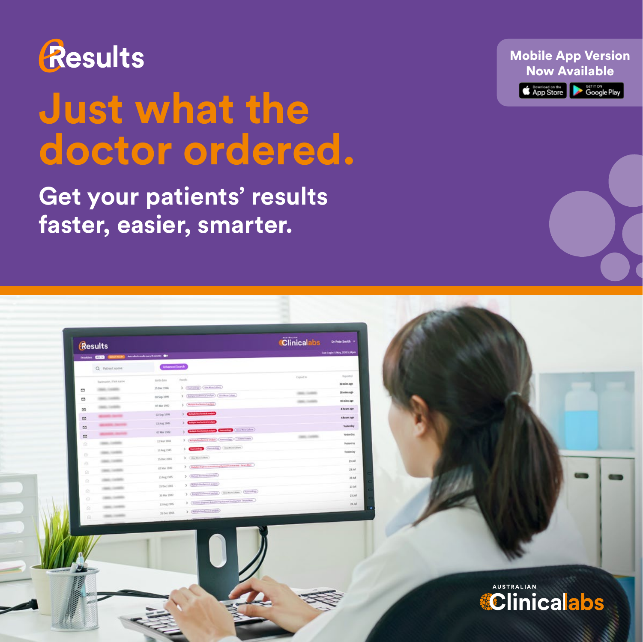

Results

# **Just what the doctor ordered.**

### **Get your patients' results faster, easier, smarter.**

(Emaile) Continuation

11 Aug 250

Clinicalabs

 $_{\rm max}$  $\frac{1}{2}$  $\sim$  $\sim$  Mobile App Version Now Available**Examples on the Coogle Play** 

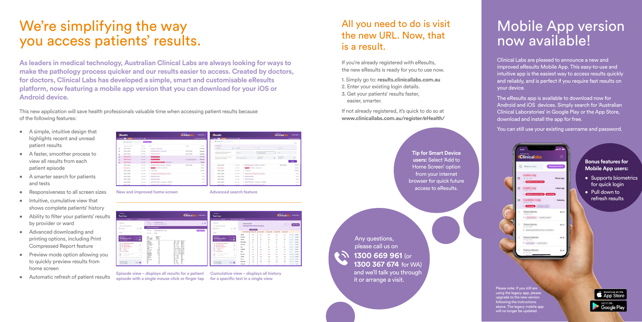- A simple, intuitive design that highlights recent and unread patient results
- A faster, smoother process to view all results from each patient episode
- A smarter search for patients and tests
- Responsiveness to all screen sizes
- Intuitive, cumulative view that shows complete patients' history
- Ability to filter your patients' results by provider or ward
- Advanced downloading and printing options, including Print Compressed Report feature
- Preview mode option allowing you to quickly preview results from home screen
- Automatic refresh of patient results



New and improved home screen<br> **Advanced search feature** 



### We're simplifying the way you access patients' results.

**As leaders in medical technology, Australian Clinical Labs are always looking for ways to make the pathology process quicker and our results easier to access. Created by doctors, for doctors, Clinical Labs has developed a simple, smart and customisable eResults platform, now featuring a mobile app version that you can download for your iOS or Android device.**

> Please note: If you still are using the legacy app, please upgrade to the new version following the instructions above. The legacy mobile app will no longer be updated

**Episode view – displays all results for a patient episode with a single mouse click or finger tap Cumulative view – displays all history for a specific test in a single view**

### All you need to do is visit the new URL. Now, that is a result.

If you're already registered with eResults, the new eResults is ready for you to use now.

1. Simply go to: **results.clinicallabs.com.au**

2. Enter your existing login details.

3. Get your patients' results faster, easier, smarter.

If not already registered, it's quick to do so at **www.clinicallabs.com.au/register/eHealth/**

> **Tip for Smart Device users:** Select 'Add to Home Screen' option from your internet browser for quick future access to eResults.

This new application will save health professionals valuable time when accessing patient results because of the following features:

## Mobile App version now available!

Clinical Labs are pleased to announce a new and improved eResults Mobile App. This easy-to-use and intuitive app is the easiest way to access results quickly and reliably, and is perfect if you require fast results on your device.

The eResults app is available to download now for Android and iOS devices. Simply search for 'Australian Clinical Laboratories' in Google Play or the App Store, download and install the app for free.

You can still use your existing username and password.

Clinicalak

*<u>Separate Mountain</u>* 

**Clinton's fund to** 

*<u>September Montrea</u>* 

> (Hamming) Couties

Condition Protein ) (Eliza Micro Culture

Any questions, please call us on



**1300 669 961** (or **1300 367 674** for WA) and we'll talk you through it or arrange a visit.

#### **Bonus features for Mobile App users:**

- Supports biometrics for quick login
- Pull down to refresh results